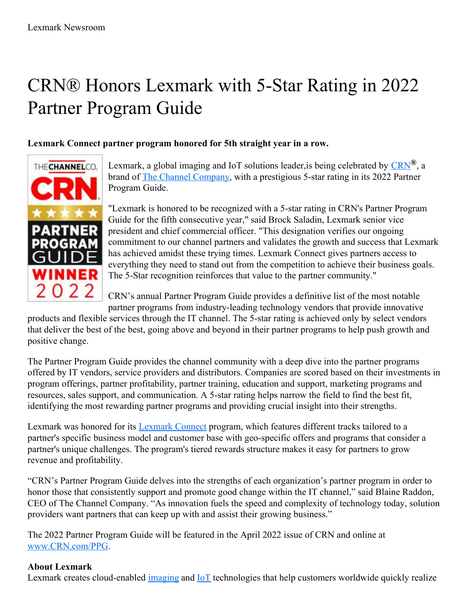# CRN® Honors Lexmark with 5-Star Rating in 2022 Partner Program Guide

## **Lexmark Connect partner program honored for 5th straight year in a row.**



Lexmark, a global imaging and IoT solutions leader,is being celebrated by [CRN](http://www.crn.com) **®**, a brand of The Channel [Company](http://www.thechannelco.com/), with a prestigious 5-star rating in its 2022 Partner Program Guide.

"Lexmark is honored to be recognized with a 5-star rating in CRN's Partner Program Guide for the fifth consecutive year," said Brock Saladin, Lexmark senior vice president and chief commercial officer. "This designation verifies our ongoing commitment to our channel partners and validates the growth and success that Lexmark has achieved amidst these trying times. Lexmark Connect gives partners access to everything they need to stand out from the competition to achieve their business goals. The 5-Star recognition reinforces that value to the partner community."

CRN's annual Partner Program Guide provides a definitive list of the most notable partner programs from industry-leading technology vendors that provide innovative

products and flexible services through the IT channel. The 5-star rating is achieved only by select vendors that deliver the best of the best, going above and beyond in their partner programs to help push growth and positive change.

The Partner Program Guide provides the channel community with a deep dive into the partner programs offered by IT vendors, service providers and distributors. Companies are scored based on their investments in program offerings, partner profitability, partner training, education and support, marketing programs and resources, sales support, and communication. A 5-star rating helps narrow the field to find the best fit, identifying the most rewarding partner programs and providing crucial insight into their strengths.

Lexmark was honored for its [Lexmark](https://www.lexmark.com/en_us/lexmark-connect.html) Connect program, which features different tracks tailored to a partner's specific business model and customer base with geo-specific offers and programs that consider a partner's unique challenges. The program's tiered rewards structure makes it easy for partners to grow revenue and profitability.

"CRN's Partner Program Guide delves into the strengths of each organization's partner program in order to honor those that consistently support and promote good change within the IT channel," said Blaine Raddon, CEO of The Channel Company. "As innovation fuels the speed and complexity of technology today, solution providers want partners that can keep up with and assist their growing business."

The 2022 Partner Program Guide will be featured in the April 2022 issue of CRN and online at [www.CRN.com/PPG](http://www.crn.com/PPG).

### **About Lexmark**

Lexmark creates cloud-enabled [imaging](https://www.lexmark.com/en_us/services/managed-print-services.html) and [IoT](https://www.lexmark.com/en_us/solutions/optra-iot-platform.html) technologies that help customers worldwide quickly realize